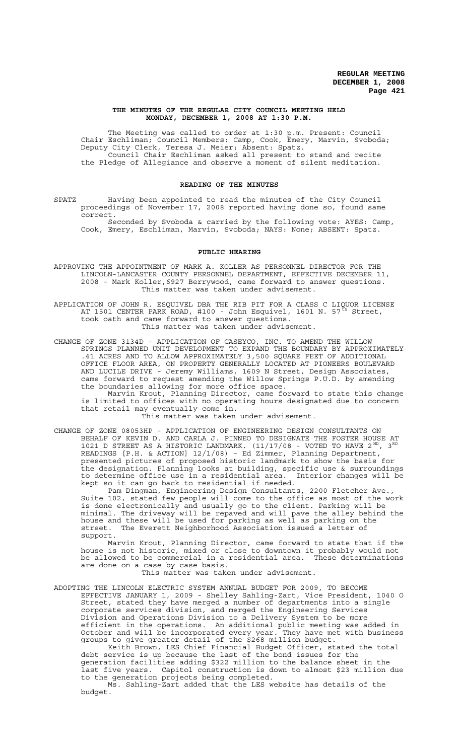#### **THE MINUTES OF THE REGULAR CITY COUNCIL MEETING HELD MONDAY, DECEMBER 1, 2008 AT 1:30 P.M.**

The Meeting was called to order at 1:30 p.m. Present: Council Chair Eschliman; Council Members: Camp, Cook, Emery, Marvin, Svoboda; Deputy City Clerk, Teresa J. Meier; Absent: Spatz. Council Chair Eschliman asked all present to stand and recite the Pledge of Allegiance and observe a moment of silent meditation.

### **READING OF THE MINUTES**

SPATZ Having been appointed to read the minutes of the City Council proceedings of November 17, 2008 reported having done so, found same correct.

Seconded by Svoboda & carried by the following vote: AYES: Camp, Cook, Emery, Eschliman, Marvin, Svoboda; NAYS: None; ABSENT: Spatz.

#### **PUBLIC HEARING**

- APPROVING THE APPOINTMENT OF MARK A. KOLLER AS PERSONNEL DIRECTOR FOR THE LINCOLN-LANCASTER COUNTY PERSONNEL DEPARTMENT, EFFECTIVE DECEMBER 11, 2008 - Mark Koller,6927 Berrywood, came forward to answer questions. This matter was taken under advisement.
- APPLICATION OF JOHN R. ESQUIVEL DBA THE RIB PIT FOR A CLASS C LIQUOR LICENSE AT 1501 CENTER PARK ROAD, #100 - John Esquivel, 1601 N. 57 $^{\tilde{t}h}$  Street, took oath and came forward to answer questions. This matter was taken under advisement.
- CHANGE OF ZONE 3134D APPLICATION OF CASEYCO, INC. TO AMEND THE WILLOW SPRINGS PLANNED UNIT DEVELOPMENT TO EXPAND THE BOUNDARY BY APPROXIMATELY .41 ACRES AND TO ALLOW APPROXIMATELY 3,500 SQUARE FEET OF ADDITIONAL OFFICE FLOOR AREA, ON PROPERTY GENERALLY LOCATED AT PIONEERS BOULEVARD AND LUCILE DRIVE - Jeremy Williams, 1609 N Street, Design Associates, came forward to request amending the Willow Springs P.U.D. by amending the boundaries allowing for more office space.

Marvin Krout, Planning Director, came forward to state this change is limited to offices with no operating hours designated due to concern that retail may eventually come in.

This matter was taken under advisement.

CHANGE OF ZONE 08053HP - APPLICATION OF ENGINEERING DESIGN CONSULTANTS ON BEHALF OF KEVIN D. AND CARLA J. PINNEO TO DESIGNATE THE FOSTER HOUSE AT 1021 D STREET AS A HISTORIC LANDMARK. (11/17/08 - VOTED TO HAVE  $2^{ND}$ ,  $3^{RD}$ READINGS [P.H. & ACTION] 12/1/08) - Ed Zimmer, Planning Department, presented pictures of proposed historic landmark to show the basis for the designation. Planning looks at building, specific use & surroundings to determine office use in a residential area. Interior changes will be kept so it can go back to residential if needed.

Pam Dingman, Engineering Design Consultants, 2200 Fletcher Ave., Suite 102, stated few people will come to the office as most of the work is done electronically and usually go to the client. Parking will be minimal. The driveway will be repaved and will pave the alley behind the house and these will be used for parking as well as parking on the street. The Everett Neighborhood Association issued a letter of support.

Marvin Krout, Planning Director, came forward to state that if the house is not historic, mixed or close to downtown it probably would not be allowed to be commercial in a residential area. These determinations are done on a case by case basis.

This matter was taken under advisement.

ADOPTING THE LINCOLN ELECTRIC SYSTEM ANNUAL BUDGET FOR 2009, TO BECOME EFFECTIVE JANUARY 1, 2009 - Shelley Sahling-Zart, Vice President, 1040 O Street, stated they have merged a number of departments into a single corporate services division, and merged the Engineering Services Division and Operations Division to a Delivery System to be more efficient in the operations. An additional public meeting was added in October and will be incorporated every year. They have met with business groups to give greater detail of the \$268 million budget.

Keith Brown, LES Chief Financial Budget Officer, stated the total debt service is up because the last of the bond issues for the generation facilities adding \$322 million to the balance sheet in the last five years. Capitol construction is down to almost \$23 million due to the generation projects being completed.

Ms. Sahling-Zart added that the LES website has details of the budget.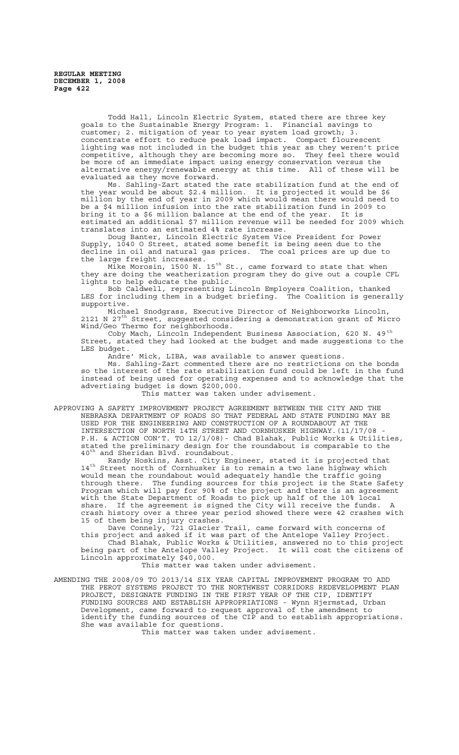Todd Hall, Lincoln Electric System, stated there are three key goals to the Sustainable Energy Program: 1. Financial savings to customer; 2. mitigation of year to year system load growth; 3. concentrate effort to reduce peak load impact. Compact flourescent lighting was not included in the budget this year as they weren't price competitive, although they are becoming more so. They feel there would be more of an immediate impact using energy conservation versus the alternative energy/renewable energy at this time. All of these will be evaluated as they move forward.

Ms. Sahling-Zart stated the rate stabilization fund at the end of the year would be about \$2.4 million. It is projected it would be \$6 million by the end of year in 2009 which would mean there would need to be a \$4 million infusion into the rate stabilization fund in 2009 to bring it to a \$6 million balance at the end of the year. It is estimated an additional \$7 million revenue will be needed for 2009 which translates into an estimated 4% rate increase.

Doug Banter, Lincoln Electric System Vice President for Power Supply, 1040 O Street, stated some benefit is being seen due to the decline in oil and natural gas prices. The coal prices are up due to the large freight increases.

Mike Morosin, 1500 N. 15<sup>th</sup> St., came forward to state that when they are doing the weatherization program they do give out a couple CFL lights to help educate the public.

Bob Caldwell, representing Lincoln Employers Coalition, thanked<br>or including them in a budget briefing. The Coalition is generally LES for including them in a budget briefing. supportive.

Michael Snodgrass, Executive Director of Neighborworks Lincoln, 2121 N 27th Street, suggested considering a demonstration grant of Micro Wind/Geo Thermo for neighborhoods.

Coby Mach, Lincoln Independent Business Association, 620 N. 49<sup>th</sup> Street, stated they had looked at the budget and made suggestions to the LES budget.

Andre' Mick, LIBA, was available to answer questions.

Ms. Sahling-Zart commented there are no restrictions on the bonds so the interest of the rate stabilization fund could be left in the fund instead of being used for operating expenses and to acknowledge that the advertising budget is down \$200,000.

This matter was taken under advisement.

APPROVING A SAFETY IMPROVEMENT PROJECT AGREEMENT BETWEEN THE CITY AND THE NEBRASKA DEPARTMENT OF ROADS SO THAT FEDERAL AND STATE FUNDING MAY BE USED FOR THE ENGINEERING AND CONSTRUCTION OF A ROUNDABOUT AT THE INTERSECTION OF NORTH 14TH STREET AND CORNHUSKER HIGHWAY.(11/17/08 - P.H. & ACTION CON'T. TO 12/1/08)- Chad Blahak, Public Works & Utilities, stated the preliminary design for the roundabout is comparable to the 40<sup>th</sup> and Sheridan Blvd. roundabout.

Randy Hoskins, Asst. City Engineer, stated it is projected that 14<sup>th</sup> Street north of Cornhusker is to remain a two lane highway which would mean the roundabout would adequately handle the traffic going<br>through there. The funding sources for this project is the State Sa The funding sources for this project is the State Safety Program which will pay for 90% of the project and there is an agreement with the State Department of Roads to pick up half of the 10% local share. If the agreement is signed the City will receive the funds. A crash history over a three year period showed there were 42 crashes with 15 of them being injury crashes.

Dave Connely, 721 Glacier Trail, came forward with concerns of this project and asked if it was part of the Antelope Valley Project.

Chad Blahak, Public Works & Utilities, answered no to this project being part of the Antelope Valley Project. It will cost the citizens of Lincoln approximately \$40,000.

This matter was taken under advisement.

AMENDING THE 2008/09 TO 2013/14 SIX YEAR CAPITAL IMPROVEMENT PROGRAM TO ADD THE PEROT SYSTEMS PROJECT TO THE NORTHWEST CORRIDORS REDEVELOPMENT PLAN PROJECT, DESIGNATE FUNDING IN THE FIRST YEAR OF THE CIP, IDENTIFY FUNDING SOURCES AND ESTABLISH APPROPRIATIONS - Wynn Hjermstad, Urban Development, came forward to request approval of the amendment to identify the funding sources of the CIP and to establish appropriations. She was available for questions.

This matter was taken under advisement.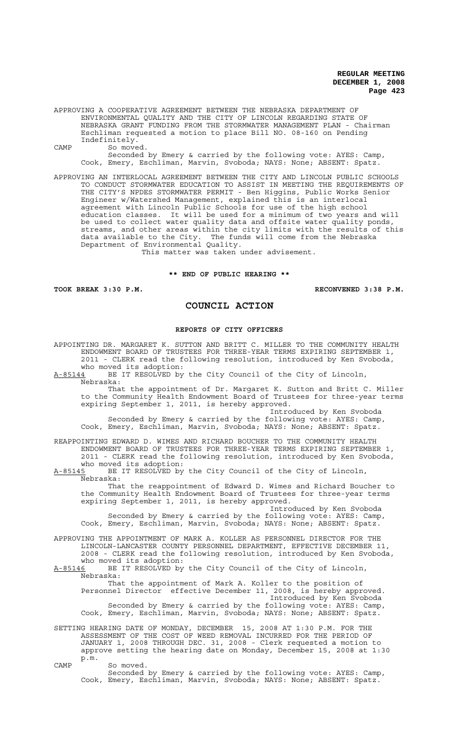APPROVING A COOPERATIVE AGREEMENT BETWEEN THE NEBRASKA DEPARTMENT OF ENVIRONMENTAL QUALITY AND THE CITY OF LINCOLN REGARDING STATE OF NEBRASKA GRANT FUNDING FROM THE STORMWATER MANAGEMENT PLAN - Chairman Eschliman requested a motion to place Bill NO. 08-160 on Pending Indefinitely. CAMP So moved.

Seconded by Emery & carried by the following vote: AYES: Camp, Cook, Emery, Eschliman, Marvin, Svoboda; NAYS: None; ABSENT: Spatz.

APPROVING AN INTERLOCAL AGREEMENT BETWEEN THE CITY AND LINCOLN PUBLIC SCHOOLS TO CONDUCT STORMWATER EDUCATION TO ASSIST IN MEETING THE REQUIREMENTS OF THE CITY'S NPDES STORMWATER PERMIT - Ben Higgins, Public Works Senior Engineer w/Watershed Management, explained this is an interlocal agreement with Lincoln Public Schools for use of the high school education classes. It will be used for a minimum of two years and will be used to collect water quality data and offsite water quality ponds, streams, and other areas within the city limits with the results of this data available to the City. The funds will come from the Nebraska Department of Environmental Quality.<br>Department of Environmental Quality.

This matter was taken under advisement.

## **\*\* END OF PUBLIC HEARING \*\***

**TOOK BREAK 3:30 P.M. RECONVENED 3:38 P.M.**

# **COUNCIL ACTION**

### **REPORTS OF CITY OFFICERS**

APPOINTING DR. MARGARET K. SUTTON AND BRITT C. MILLER TO THE COMMUNITY HEALTH ENDOWMENT BOARD OF TRUSTEES FOR THREE-YEAR TERMS EXPIRING SEPTEMBER 1, 2011 - CLERK read the following resolution, introduced by Ken Svoboda, who moved its adoption:<br>A-85144 BE IT RESOLVED by BE IT RESOLVED by the City Council of the City of Lincoln, Nebraska: That the appointment of Dr. Margaret K. Sutton and Britt C. Miller to the Community Health Endowment Board of Trustees for three-year terms expiring September 1, 2011, is hereby approved. Introduced by Ken Svoboda Seconded by Emery & carried by the following vote: AYES: Camp, Cook, Emery, Eschliman, Marvin, Svoboda; NAYS: None; ABSENT: Spatz. REAPPOINTING EDWARD D. WIMES AND RICHARD BOUCHER TO THE COMMUNITY HEALTH ENDOWMENT BOARD OF TRUSTEES FOR THREE-YEAR TERMS EXPIRING SEPTEMBER 1, 2011 - CLERK read the following resolution, introduced by Ken Svoboda, who moved its adoption: A-85145 BE IT RESOLVED by the City Council of the City of Lincoln, Nebraska: That the reappointment of Edward D. Wimes and Richard Boucher to the Community Health Endowment Board of Trustees for three-year terms expiring September 1, 2011, is hereby approved. Introduced by Ken Svoboda Seconded by Emery & carried by the following vote: AYES: Camp, Cook, Emery, Eschliman, Marvin, Svoboda; NAYS: None; ABSENT: Spatz. APPROVING THE APPOINTMENT OF MARK A. KOLLER AS PERSONNEL DIRECTOR FOR THE LINCOLN-LANCASTER COUNTY PERSONNEL DEPARTMENT, EFFECTIVE DECEMBER 11, 2008 - CLERK read the following resolution, introduced by Ken Svoboda, who moved its adoption:<br>A-85146 BE IT RESOLVED by BE IT RESOLVED by the City Council of the City of Lincoln, Nebraska: That the appointment of Mark A. Koller to the position of Personnel Director effective December 11, 2008, is hereby approved. Introduced by Ken Svoboda Seconded by Emery & carried by the following vote: AYES: Camp, Cook, Emery, Eschliman, Marvin, Svoboda; NAYS: None; ABSENT: Spatz.

SETTING HEARING DATE OF MONDAY, DECEMBER 15, 2008 AT 1:30 P.M. FOR THE ASSESSMENT OF THE COST OF WEED REMOVAL INCURRED FOR THE PERIOD OF JANUARY 1, 2008 THROUGH DEC. 31, 2008 - Clerk requested a motion to approve setting the hearing date on Monday, December 15, 2008 at 1:30 p.m.

CAMP So moved. Seconded by Emery & carried by the following vote: AYES: Camp, Cook, Emery, Eschliman, Marvin, Svoboda; NAYS: None; ABSENT: Spatz.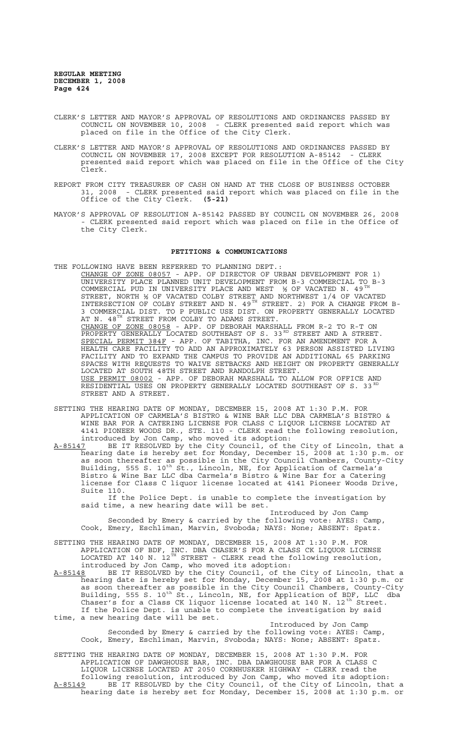- CLERK'S LETTER AND MAYOR'S APPROVAL OF RESOLUTIONS AND ORDINANCES PASSED BY COUNCIL ON NOVEMBER 10, 2008 - CLERK presented said report which was placed on file in the Office of the City Clerk.
- CLERK'S LETTER AND MAYOR'S APPROVAL OF RESOLUTIONS AND ORDINANCES PASSED BY COUNCIL ON NOVEMBER 17, 2008 EXCEPT FOR RESOLUTION A-85142 - CLERK presented said report which was placed on file in the Office of the City Clerk.
- REPORT FROM CITY TREASURER OF CASH ON HAND AT THE CLOSE OF BUSINESS OCTOBER 31, 2008 - CLERK presented said report which was placed on file in the Office of the City Clerk. **(5-21)**
- MAYOR'S APPROVAL OF RESOLUTION A-85142 PASSED BY COUNCIL ON NOVEMBER 26, 2008 - CLERK presented said report which was placed on file in the Office of the City Clerk.

## **PETITIONS & COMMUNICATIONS**

- THE FOLLOWING HAVE BEEN REFERRED TO PLANNING DEPT.: CHANGE OF ZONE 08057 - APP. OF DIRECTOR OF URBAN DEVELOPMENT FOR 1) UNIVERSITY PLACE PLANNED UNIT DEVELOPMENT FROM B-3 COMMERCIAL TO B-3 COMMERCIAL PUD IN UNIVERSITY PLACE AND WEST  $\frac{1}{2}$  OF VACATED N. 49<sup>TH</sup> STREET, NORTH ½ OF VACATED COLBY STREET AND NORTHWEST 1/4 OF VACATED INTERSECTION OF COLBY STREET AND N. 49<sup>TH</sup> STREET. 2) FOR A CHANGE FROM B-3 COMMERCIAL DIST. TO P PUBLIC USE DIST. ON PROPERTY GENERALLY LOCATED AT N.  $48^{TH}$  STREET FROM COLBY TO ADAMS STREET. CHANGE OF ZONE 08058 - APP. OF DEBORAH MARSHALL FROM R-2 TO R-T ON PROPERTY GENERALLY LOCATED SOUTHEAST OF S. 33<sup>RD</sup> STREET AND A STREET. SPECIAL PERMIT 384F - APP. OF TABITHA, INC. FOR AN AMENDMENT FOR A HEALTH CARE FACILITY TO ADD AN APPROXIMATELY 63 PERSON ASSISTED LIVING FACILITY AND TO EXPAND THE CAMPUS TO PROVIDE AN ADDITIONAL 65 PARKING SPACES WITH REQUESTS TO WAIVE SETBACKS AND HEIGHT ON PROPERTY GENERALLY LOCATED AT SOUTH 48TH STREET AND RANDOLPH STREET. USE PERMIT 08002 - APP. OF DEBORAH MARSHALL TO ALLOW FOR OFFICE AND RESIDENTIAL USES ON PROPERTY GENERALLY LOCATED SOUTHEAST OF S. 33 RD STREET AND A STREET.
- SETTING THE HEARING DATE OF MONDAY, DECEMBER 15, 2008 AT 1:30 P.M. FOR APPLICATION OF CARMELA'S BISTRO & WINE BAR LLC DBA CARMELA'S BISTRO & WINE BAR FOR A CATERING LICENSE FOR CLASS C LIQUOR LICENSE LOCATED AT 4141 PIONEER WOODS DR., STE. 110 - CLERK read the following resolution, introduced by Jon Camp, who moved its adoption:
- A-85147 BE IT RESOLVED by the City Council, of the City of Lincoln, that a hearing date is hereby set for Monday, December 15, 2008 at 1:30 p.m. or as soon thereafter as possible in the City Council Chambers, County-City Building, 555 S. 10<sup>th</sup> St., Lincoln, NE, for Application of Carmela's Bistro & Wine Bar LLC dba Carmela's Bistro & Wine Bar for a Catering license for Class C liquor license located at 4141 Pioneer Woods Drive, Suite 110.

If the Police Dept. is unable to complete the investigation by said time, a new hearing date will be set.

Introduced by Jon Camp Seconded by Emery & carried by the following vote: AYES: Camp, Cook, Emery, Eschliman, Marvin, Svoboda; NAYS: None; ABSENT: Spatz.

- SETTING THE HEARING DATE OF MONDAY, DECEMBER 15, 2008 AT 1:30 P.M. FOR APPLICATION OF BDF, INC. DBA CHASER'S FOR A CLASS CK LIQUOR LICENSE LOCATED AT 140 N.  $12^{TH}$  STREET - CLERK read the following resolution, introduced by Jon Camp, who moved its adoption:
- A-85148 BE IT RESOLVED by the City Council, of the City of Lincoln, that a hearing date is hereby set for Monday, December 15, 2008 at 1:30 p.m. or as soon thereafter as possible in the City Council Chambers, County-City Building, 555 S. 10<sup>th</sup> St., Lincoln, NE, for Application of BDF, LLC dba Chaser's for a Class CK liquor license located at 140 N. 12<sup>th</sup> Street. If the Police Dept. is unable to complete the investigation by said time, a new hearing date will be set.

Introduced by Jon Camp Seconded by Emery & carried by the following vote: AYES: Camp, Cook, Emery, Eschliman, Marvin, Svoboda; NAYS: None; ABSENT: Spatz.

SETTING THE HEARING DATE OF MONDAY, DECEMBER 15, 2008 AT 1:30 P.M. FOR APPLICATION OF DAWGHOUSE BAR, INC. DBA DAWGHOUSE BAR FOR A CLASS C LIQUOR LICENSE LOCATED AT 2050 CORNHUSKER HIGHWAY - CLERK read the following resolution, introduced by Jon Camp, who moved its adoption: A-85149 BE IT RESOLVED by the City Council, of the City of Lincoln, that a hearing date is hereby set for Monday, December 15, 2008 at 1:30 p.m. or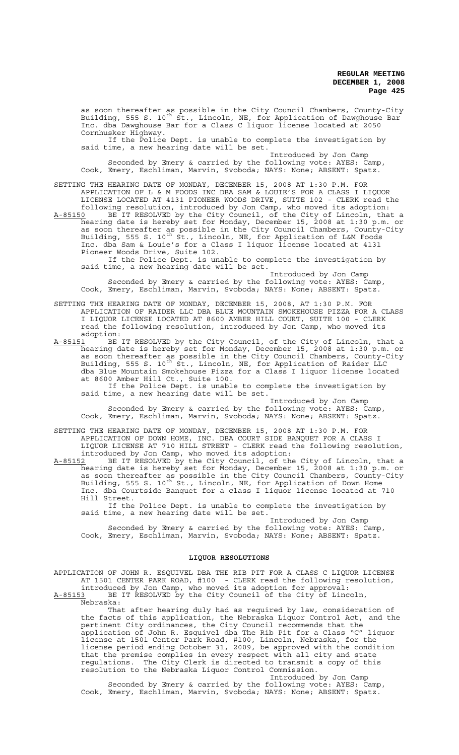as soon thereafter as possible in the City Council Chambers, County-City Building, 555 S. 10<sup>th</sup> St., Lincoln, NE, for Application of Dawghouse Bar Inc. dba Dawghouse Bar for a Class C liquor license located at 2050 Cornhusker Highway.

If the Police Dept. is unable to complete the investigation by said time, a new hearing date will be set.

Introduced by Jon Camp Seconded by Emery & carried by the following vote: AYES: Camp, Cook, Emery, Eschliman, Marvin, Svoboda; NAYS: None; ABSENT: Spatz.

SETTING THE HEARING DATE OF MONDAY, DECEMBER 15, 2008 AT 1:30 P.M. FOR APPLICATION OF L & M FOODS INC DBA SAM & LOUIE'S FOR A CLASS I LIQUOR LICENSE LOCATED AT 4131 PIONEER WOODS DRIVE, SUITE 102 - CLERK read the

following resolution, introduced by Jon Camp, who moved its adoption: A-85150 BE IT RESOLVED by the City Council, of the City of Lincoln, that a hearing date is hereby set for Monday, December 15, 2008 at 1:30 p.m. or as soon thereafter as possible in the City Council Chambers, County-City Building, 555 S. 10<sup>th</sup> St., Lincoln, NE, for Application of L&M Foods Inc. dba Sam & Louie's for a Class I liquor license located at 4131 Pioneer Woods Drive, Suite 102.

If the Police Dept. is unable to complete the investigation by said time, a new hearing date will be set.

Introduced by Jon Camp Seconded by Emery & carried by the following vote: AYES: Camp, Cook, Emery, Eschliman, Marvin, Svoboda; NAYS: None; ABSENT: Spatz.

SETTING THE HEARING DATE OF MONDAY, DECEMBER 15, 2008, AT 1:30 P.M. FOR APPLICATION OF RAIDER LLC DBA BLUE MOUNTAIN SMOKEHOUSE PIZZA FOR A CLASS I LIQUOR LICENSE LOCATED AT 8600 AMBER HILL COURT, SUITE 100 - CLERK read the following resolution, introduced by Jon Camp, who moved its

adoption:<br><u>A-85151</u> BE A-85151 BE IT RESOLVED by the City Council, of the City of Lincoln, that a hearing date is hereby set for Monday, December 15, 2008 at 1:30 p.m. or as soon thereafter as possible in the City Council Chambers, County-City Building, 555 S. 10<sup>th</sup> St., Lincoln, NE, for Application of Raider LLC dba Blue Mountain Smokehouse Pizza for a Class I liquor license located at 8600 Amber Hill Ct., Suite 100.

If the Police Dept. is unable to complete the investigation by said time, a new hearing date will be set.

Introduced by Jon Camp Seconded by Emery & carried by the following vote: AYES: Camp, Cook, Emery, Eschliman, Marvin, Svoboda; NAYS: None; ABSENT: Spatz.

SETTING THE HEARING DATE OF MONDAY, DECEMBER 15, 2008 AT 1:30 P.M. FOR APPLICATION OF DOWN HOME, INC. DBA COURT SIDE BANQUET FOR A CLASS I LIQUOR LICENSE AT 710 HILL STREET - CLERK read the following resolution, introduced by Jon Camp, who moved its adoption:

A-85152 BE IT RESOLVED by the City Council, of the City of Lincoln, that a hearing date is hereby set for Monday, December 15, 2008 at 1:30 p.m. or as soon thereafter as possible in the City Council Chambers, County-City Building, 555 S. 10<sup>th</sup> St., Lincoln, NE, for Application of Down Home Inc. dba Courtside Banquet for a class I liquor license located at 710 Hill Street.

If the Police Dept. is unable to complete the investigation by said time, a new hearing date will be set.

Introduced by Jon Camp Seconded by Emery & carried by the following vote: AYES: Camp, Cook, Emery, Eschliman, Marvin, Svoboda; NAYS: None; ABSENT: Spatz.

## **LIQUOR RESOLUTIONS**

APPLICATION OF JOHN R. ESQUIVEL DBA THE RIB PIT FOR A CLASS C LIQUOR LICENSE AT 1501 CENTER PARK ROAD, #100 - CLERK read the following resolution, introduced by Jon Camp, who moved its adoption for approval:

A-85153 BE IT RESOLVED by the City Council of the City of Lincoln, Nebraska:

That after hearing duly had as required by law, consideration of the facts of this application, the Nebraska Liquor Control Act, and the pertinent City ordinances, the City Council recommends that the application of John R. Esquivel dba The Rib Pit for a Class "C" liquor license at 1501 Center Park Road, #100, Lincoln, Nebraska, for the license period ending October 31, 2009, be approved with the condition that the premise complies in every respect with all city and state regulations. The City Clerk is directed to transmit a copy of this resolution to the Nebraska Liquor Control Commission.

Introduced by Jon Camp Seconded by Emery & carried by the following vote: AYES: Camp, Cook, Emery, Eschliman, Marvin, Svoboda; NAYS: None; ABSENT: Spatz.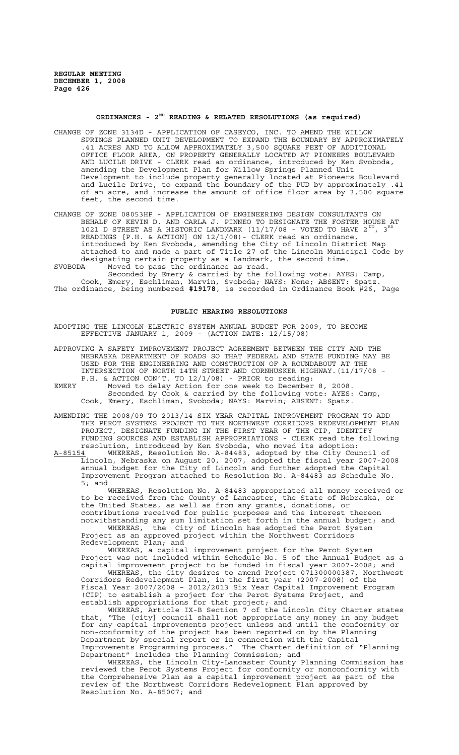# **ORDINANCES - 2ND READING & RELATED RESOLUTIONS (as required)**

- CHANGE OF ZONE 3134D APPLICATION OF CASEYCO, INC. TO AMEND THE WILLOW SPRINGS PLANNED UNIT DEVELOPMENT TO EXPAND THE BOUNDARY BY APPROXIMATELY .41 ACRES AND TO ALLOW APPROXIMATELY 3,500 SQUARE FEET OF ADDITIONAL OFFICE FLOOR AREA, ON PROPERTY GENERALLY LOCATED AT PIONEERS BOULEVARD AND LUCILE DRIVE - CLERK read an ordinance, introduced by Ken Svoboda, amending the Development Plan for Willow Springs Planned Unit Development to include property generally located at Pioneers Boulevard and Lucile Drive, to expand the boundary of the PUD by approximately .41 of an acre, and increase the amount of office floor area by 3,500 square feet, the second time.
- CHANGE OF ZONE 08053HP APPLICATION OF ENGINEERING DESIGN CONSULTANTS ON BEHALF OF KEVIN D. AND CARLA J. PINNEO TO DESIGNATE THE FOSTER HOUSE AT 1021 D STREET AS A HISTORIC LANDMARK (11/17/08 - VOTED TO HAVE 2 $^{\text{ND}}$ , 3 $^{\text{RD}}$ READINGS [P.H. & ACTION] ON 12/1/08)- CLERK read an ordinance, introduced by Ken Svoboda, amending the City of Lincoln District Map attached to and made a part of Title 27 of the Lincoln Municipal Code by designating certain property as a Landmark, the second time.
- SVOBODA Moved to pass the ordinance as read. Seconded by Emery & carried by the following vote: AYES: Camp, Cook, Emery, Eschliman, Marvin, Svoboda; NAYS: None; ABSENT: Spatz.

The ordinance, being numbered **#19178**, is recorded in Ordinance Book #26, Page

# **PUBLIC HEARING RESOLUTIONS**

ADOPTING THE LINCOLN ELECTRIC SYSTEM ANNUAL BUDGET FOR 2009, TO BECOME EFFECTIVE JANUARY 1, 2009 - (ACTION DATE: 12/15/08)

APPROVING A SAFETY IMPROVEMENT PROJECT AGREEMENT BETWEEN THE CITY AND THE NEBRASKA DEPARTMENT OF ROADS SO THAT FEDERAL AND STATE FUNDING MAY BE USED FOR THE ENGINEERING AND CONSTRUCTION OF A ROUNDABOUT AT THE INTERSECTION OF NORTH 14TH STREET AND CORNHUSKER HIGHWAY.(11/17/08 - P.H. & ACTION CON'T. TO 12/1/08) - PRIOR to reading:

EMERY Moved to delay Action for one week to December 8, 2008. Seconded by Cook & carried by the following vote: AYES: Camp, Cook, Emery, Eschliman, Svoboda; NAYS: Marvin; ABSENT: Spatz.

AMENDING THE 2008/09 TO 2013/14 SIX YEAR CAPITAL IMPROVEMENT PROGRAM TO ADD THE PEROT SYSTEMS PROJECT TO THE NORTHWEST CORRIDORS REDEVELOPMENT PLAN PROJECT, DESIGNATE FUNDING IN THE FIRST YEAR OF THE CIP, IDENTIFY FUNDING SOURCES AND ESTABLISH APPROPRIATIONS - CLERK read the following resolution, introduced by Ken Svoboda, who moved its adoption:

A-85154 WHEREAS, Resolution No. A-84483, adopted by the City Council of Lincoln, Nebraska on August 20, 2007, adopted the fiscal year 2007-2008 annual budget for the City of Lincoln and further adopted the Capital Improvement Program attached to Resolution No. A-84483 as Schedule No. 5; and

WHEREAS, Resolution No. A-84483 appropriated all money received or to be received from the County of Lancaster, the State of Nebraska, or the United States, as well as from any grants, donations, or contributions received for public purposes and the interest thereon

notwithstanding any sum limitation set forth in the annual budget; and<br>WHEREAS, the City of Lincoln has adopted the Perot System the City of Lincoln has adopted the Perot System Project as an approved project within the Northwest Corridors Redevelopment Plan; and

WHEREAS, a capital improvement project for the Perot System Project was not included within Schedule No. 5 of the Annual Budget as a capital improvement project to be funded in fiscal year 2007-2008; and

WHEREAS, the City desires to amend Project 071300000387, Northwest Corridors Redevelopment Plan, in the first year (2007-2008) of the Fiscal Year 2007/2008 – 2012/2013 Six Year Capital Improvement Program (CIP) to establish a project for the Perot Systems Project, and establish appropriations for that project; and

WHEREAS, Article IX-B Section 7 of the Lincoln City Charter states that, "The [city] council shall not appropriate any money in any budget for any capital improvements project unless and until the conformity or non-conformity of the project has been reported on by the Planning Department by special report or in connection with the Capital Improvements Programming process." The Charter definition of "Planning Department" includes the Planning Commission; and

WHEREAS, the Lincoln City-Lancaster County Planning Commission has reviewed the Perot Systems Project for conformity or nonconformity with the Comprehensive Plan as a capital improvement project as part of the review of the Northwest Corridors Redevelopment Plan approved by Resolution No. A-85007; and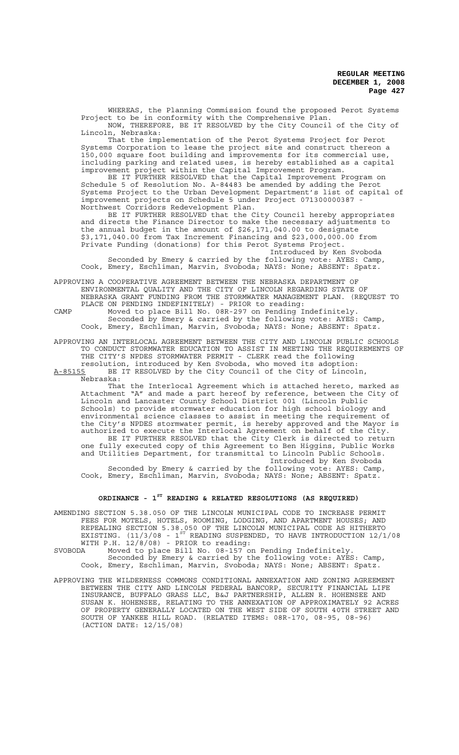WHEREAS, the Planning Commission found the proposed Perot Systems Project to be in conformity with the Comprehensive Plan.

NOW, THEREFORE, BE IT RESOLVED by the City Council of the City of Lincoln, Nebraska:

That the implementation of the Perot Systems Project for Perot Systems Corporation to lease the project site and construct thereon a 150,000 square foot building and improvements for its commercial use, including parking and related uses, is hereby established as a capital improvement project within the Capital Improvement Program.

BE IT FURTHER RESOLVED that the Capital Improvement Program on Schedule 5 of Resolution No. A-84483 be amended by adding the Perot Systems Project to the Urban Development Department's list of capital of improvement projects on Schedule 5 under Project 071300000387 - Northwest Corridors Redevelopment Plan.

BE IT FURTHER RESOLVED that the City Council hereby appropriates and directs the Finance Director to make the necessary adjustments to the annual budget in the amount of \$26,171,040.00 to designate \$3,171,040.00 from Tax Increment Financing and \$23,000,000.00 from Private Funding (donations) for this Perot Systems Project.

Introduced by Ken Svoboda

 Seconded by Emery & carried by the following vote: AYES: Camp, Cook, Emery, Eschliman, Marvin, Svoboda; NAYS: None; ABSENT: Spatz.

APPROVING A COOPERATIVE AGREEMENT BETWEEN THE NEBRASKA DEPARTMENT OF ENVIRONMENTAL QUALITY AND THE CITY OF LINCOLN REGARDING STATE OF NEBRASKA GRANT FUNDING FROM THE STORMWATER MANAGEMENT PLAN. (REQUEST TO PLACE ON PENDING INDEFINITELY) - PRIOR to reading:

CAMP Moved to place Bill No. 08R-297 on Pending Indefinitely. Seconded by Emery & carried by the following vote: AYES: Camp, Cook, Emery, Eschliman, Marvin, Svoboda; NAYS: None; ABSENT: Spatz.

APPROVING AN INTERLOCAL AGREEMENT BETWEEN THE CITY AND LINCOLN PUBLIC SCHOOLS TO CONDUCT STORMWATER EDUCATION TO ASSIST IN MEETING THE REQUIREMENTS OF THE CITY'S NPDES STORMWATER PERMIT - CLERK read the following

resolution, introduced by Ken Svoboda, who moved its adoption: A-85155 BE IT RESOLVED by the City Council of the City of Lincoln, Nebraska:

That the Interlocal Agreement which is attached hereto, marked as Attachment "A" and made a part hereof by reference, between the City of Lincoln and Lancaster County School District 001 (Lincoln Public Schools) to provide stormwater education for high school biology and environmental science classes to assist in meeting the requirement of the City's NPDES stormwater permit, is hereby approved and the Mayor is authorized to execute the Interlocal Agreement on behalf of the City. BE IT FURTHER RESOLVED that the City Clerk is directed to return one fully executed copy of this Agreement to Ben Higgins, Public Works and Utilities Department, for transmittal to Lincoln Public Schools.

Introduced by Ken Svoboda Seconded by Emery & carried by the following vote: AYES: Camp, Cook, Emery, Eschliman, Marvin, Svoboda; NAYS: None; ABSENT: Spatz.

# **ORDINANCE - 1ST READING & RELATED RESOLUTIONS (AS REQUIRED)**

AMENDING SECTION 5.38.050 OF THE LINCOLN MUNICIPAL CODE TO INCREASE PERMIT FEES FOR MOTELS, HOTELS, ROOMING, LODGING, AND APARTMENT HOUSES; AND REPEALING SECTION 5.38.050 OF THE LINCOLN MUNICIPAL CODE AS HITHERTO EXISTING. (11/3/08 -  $1^{\text{ST}}$  READING SUSPENDED, TO HAVE INTRODUCTION 12/1/08 WITH P.H. 12/8/08) - PRIOR to reading:

- SVOBODA Moved to place Bill No. 08-157 on Pending Indefinitely. Seconded by Emery & carried by the following vote: AYES: Camp, Cook, Emery, Eschliman, Marvin, Svoboda; NAYS: None; ABSENT: Spatz.
- APPROVING THE WILDERNESS COMMONS CONDITIONAL ANNEXATION AND ZONING AGREEMENT BETWEEN THE CITY AND LINCOLN FEDERAL BANCORP, SECURITY FINANCIAL LIFE INSURANCE, BUFFALO GRASS LLC, B&J PARTNERSHIP, ALLEN R. HOHENSEE AND SUSAN K. HOHENSEE, RELATING TO THE ANNEXATION OF APPROXIMATELY 92 ACRES OF PROPERTY GENERALLY LOCATED ON THE WEST SIDE OF SOUTH 40TH STREET AND SOUTH OF YANKEE HILL ROAD. (RELATED ITEMS: 08R-170, 08-95, 08-96) (ACTION DATE: 12/15/08)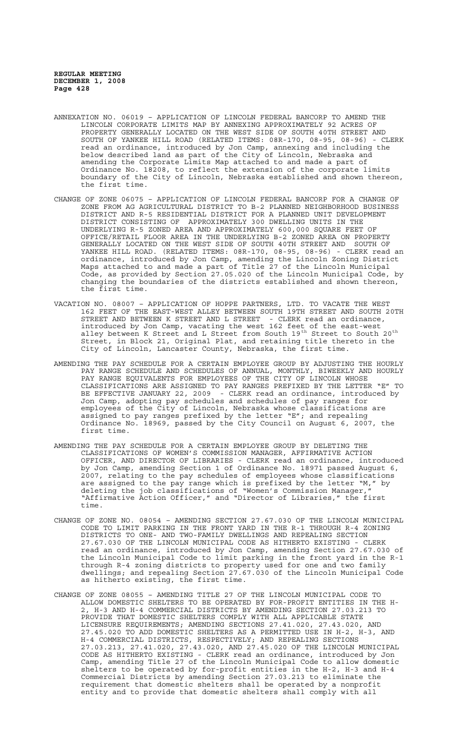- ANNEXATION NO. 06019 APPLICATION OF LINCOLN FEDERAL BANCORP TO AMEND THE LINCOLN CORPORATE LIMITS MAP BY ANNEXING APPROXIMATELY 92 ACRES OF PROPERTY GENERALLY LOCATED ON THE WEST SIDE OF SOUTH 40TH STREET AND SOUTH OF YANKEE HILL ROAD (RELATED ITEMS: 08R-170, 08-95, 08-96) - CLERK read an ordinance, introduced by Jon Camp, annexing and including the below described land as part of the City of Lincoln, Nebraska and amending the Corporate Limits Map attached to and made a part of Ordinance No. 18208, to reflect the extension of the corporate limits boundary of the City of Lincoln, Nebraska established and shown thereon, the first time.
- CHANGE OF ZONE 06075 APPLICATION OF LINCOLN FEDERAL BANCORP FOR A CHANGE OF ZONE FROM AG AGRICULTURAL DISTRICT TO B-2 PLANNED NEIGHBORHOOD BUSINESS DISTRICT AND R-5 RESIDENTIAL DISTRICT FOR A PLANNED UNIT DEVELOPMENT DISTRICT CONSISTING OF APPROXIMATELY 300 DWELLING UNITS IN THE UNDERLYING R-5 ZONED AREA AND APPROXIMATELY 600,000 SQUARE FEET OF OFFICE/RETAIL FLOOR AREA IN THE UNDERLYING B-2 ZONED AREA ON PROPERTY GENERALLY LOCATED ON THE WEST SIDE OF SOUTH 40TH STREET AND SOUTH OF YANKEE HILL ROAD. (RELATED ITEMS: 08R-170, 08-95, 08-96) - CLERK read an ordinance, introduced by Jon Camp, amending the Lincoln Zoning District Maps attached to and made a part of Title 27 of the Lincoln Municipal Code, as provided by Section 27.05.020 of the Lincoln Municipal Code, by changing the boundaries of the districts established and shown thereon, the first time.
- VACATION NO. 08007 APPLICATION OF HOPPE PARTNERS, LTD. TO VACATE THE WEST 162 FEET OF THE EAST-WEST ALLEY BETWEEN SOUTH 19TH STREET AND SOUTH 20TH STREET AND BETWEEN K STREET AND L STREET - CLERK read an ordinance, introduced by Jon Camp, vacating the west 162 feet of the east-west alley between K Street and L Street from South 19<sup>th</sup> Street to South 20<sup>th</sup> Street, in Block 21, Original Plat, and retaining title thereto in the City of Lincoln, Lancaster County, Nebraska, the first time.
- AMENDING THE PAY SCHEDULE FOR A CERTAIN EMPLOYEE GROUP BY ADJUSTING THE HOURLY PAY RANGE SCHEDULE AND SCHEDULES OF ANNUAL, MONTHLY, BIWEEKLY AND HOURLY PAY RANGE EQUIVALENTS FOR EMPLOYEES OF THE CITY OF LINCOLN WHOSE CLASSIFICATIONS ARE ASSIGNED TO PAY RANGES PREFIXED BY THE LETTER "E" TO BE EFFECTIVE JANUARY 22, 2009 - CLERK read an ordinance, introduced by Jon Camp, adopting pay schedules and schedules of pay ranges for employees of the City of Lincoln, Nebraska whose classifications are assigned to pay ranges prefixed by the letter "E"; and repealing Ordinance No. 18969, passed by the City Council on August 6, 2007, the first time.
- AMENDING THE PAY SCHEDULE FOR A CERTAIN EMPLOYEE GROUP BY DELETING THE CLASSIFICATIONS OF WOMEN'S COMMISSION MANAGER, AFFIRMATIVE ACTION OFFICER, AND DIRECTOR OF LIBRARIES - CLERK read an ordinance, introduced by Jon Camp, amending Section 1 of Ordinance No. 18971 passed August 6, 2007, relating to the pay schedules of employees whose classifications<br>are assigned to the pay range which is prefixed by the letter "M," by are assigned to the pay range which is prefixed by the letter "M," by deleting the job classifications of "Women's Commission Manager," "Affirmative Action Officer," and "Director of Libraries," the first time.
- CHANGE OF ZONE NO. 08054 AMENDING SECTION 27.67.030 OF THE LINCOLN MUNICIPAL CODE TO LIMIT PARKING IN THE FRONT YARD IN THE R-1 THROUGH R-4 ZONING DISTRICTS TO ONE- AND TWO-FAMILY DWELLINGS AND REPEALING SECTION 27.67.030 OF THE LINCOLN MUNICIPAL CODE AS HITHERTO EXISTING - CLERK read an ordinance, introduced by Jon Camp, amending Section 27.67.030 of the Lincoln Municipal Code to limit parking in the front yard in the R-1 through R-4 zoning districts to property used for one and two family dwellings; and repealing Section 27.67.030 of the Lincoln Municipal Code as hitherto existing, the first time.
- CHANGE OF ZONE 08055 AMENDING TITLE 27 OF THE LINCOLN MUNICIPAL CODE TO ALLOW DOMESTIC SHELTERS TO BE OPERATED BY FOR-PROFIT ENTITIES IN THE H-2, H-3 AND H-4 COMMERCIAL DISTRICTS BY AMENDING SECTION 27.03.213 TO PROVIDE THAT DOMESTIC SHELTERS COMPLY WITH ALL APPLICABLE STATE LICENSURE REQUIREMENTS; AMENDING SECTIONS 27.41.020, 27.43.020, AND 27.45.020 TO ADD DOMESTIC SHELTERS AS A PERMITTED USE IN H-2, H-3, AND H-4 COMMERCIAL DISTRICTS, RESPECTIVELY; AND REPEALING SECTIONS 27.03.213, 27.41.020, 27.43.020, AND 27.45.020 OF THE LINCOLN MUNICIPAL CODE AS HITHERTO EXISTING - CLERK read an ordinance, introduced by Jon Camp, amending Title 27 of the Lincoln Municipal Code to allow domestic shelters to be operated by for-profit entities in the H-2, H-3 and H-4 Commercial Districts by amending Section 27.03.213 to eliminate the requirement that domestic shelters shall be operated by a nonprofit entity and to provide that domestic shelters shall comply with all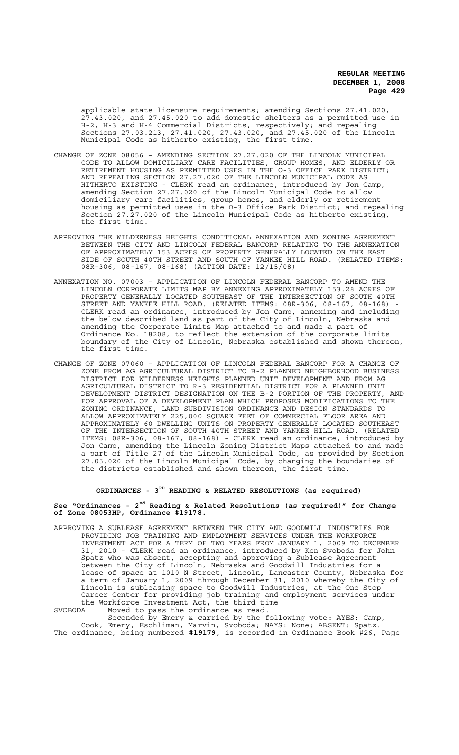applicable state licensure requirements; amending Sections 27.41.020, 27.43.020, and 27.45.020 to add domestic shelters as a permitted use in H-2, H-3 and H-4 Commercial Districts, respectively; and repealing Sections 27.03.213, 27.41.020, 27.43.020, and 27.45.020 of the Lincoln Municipal Code as hitherto existing, the first time.

- CHANGE OF ZONE 08056 AMENDING SECTION 27.27.020 OF THE LINCOLN MUNICIPAL CODE TO ALLOW DOMICILIARY CARE FACILITIES, GROUP HOMES, AND ELDERLY OR RETIREMENT HOUSING AS PERMITTED USES IN THE O-3 OFFICE PARK DISTRICT; AND REPEALING SECTION 27.27.020 OF THE LINCOLN MUNICIPAL CODE AS HITHERTO EXISTING - CLERK read an ordinance, introduced by Jon Camp, amending Section 27.27.020 of the Lincoln Municipal Code to allow domiciliary care facilities, group homes, and elderly or retirement housing as permitted uses in the O-3 Office Park District; and repealing Section 27.27.020 of the Lincoln Municipal Code as hitherto existing, the first time.
- APPROVING THE WILDERNESS HEIGHTS CONDITIONAL ANNEXATION AND ZONING AGREEMENT BETWEEN THE CITY AND LINCOLN FEDERAL BANCORP RELATING TO THE ANNEXATION OF APPROXIMATELY 153 ACRES OF PROPERTY GENERALLY LOCATED ON THE EAST SIDE OF SOUTH 40TH STREET AND SOUTH OF YANKEE HILL ROAD. (RELATED ITEMS: 08R-306, 08-167, 08-168) (ACTION DATE: 12/15/08)
- ANNEXATION NO. 07003 APPLICATION OF LINCOLN FEDERAL BANCORP TO AMEND THE LINCOLN CORPORATE LIMITS MAP BY ANNEXING APPROXIMATELY 153.28 ACRES OF PROPERTY GENERALLY LOCATED SOUTHEAST OF THE INTERSECTION OF SOUTH 40TH STREET AND YANKEE HILL ROAD. (RELATED ITEMS: 08R-306, 08-167, 08-168) CLERK read an ordinance, introduced by Jon Camp, annexing and including the below described land as part of the City of Lincoln, Nebraska and amending the Corporate Limits Map attached to and made a part of Ordinance No. 18208, to reflect the extension of the corporate limits boundary of the City of Lincoln, Nebraska established and shown thereon, the first time.
- CHANGE OF ZONE 07060 APPLICATION OF LINCOLN FEDERAL BANCORP FOR A CHANGE OF ZONE FROM AG AGRICULTURAL DISTRICT TO B-2 PLANNED NEIGHBORHOOD BUSINESS DISTRICT FOR WILDERNESS HEIGHTS PLANNED UNIT DEVELOPMENT AND FROM AG AGRICULTURAL DISTRICT TO R-3 RESIDENTIAL DISTRICT FOR A PLANNED UNIT DEVELOPMENT DISTRICT DESIGNATION ON THE B-2 PORTION OF THE PROPERTY, AND FOR APPROVAL OF A DEVELOPMENT PLAN WHICH PROPOSES MODIFICATIONS TO THE ZONING ORDINANCE, LAND SUBDIVISION ORDINANCE AND DESIGN STANDARDS TO ALLOW APPROXIMATELY 225,000 SQUARE FEET OF COMMERCIAL FLOOR AREA AND APPROXIMATELY 60 DWELLING UNITS ON PROPERTY GENERALLY LOCATED SOUTHEAST OF THE INTERSECTION OF SOUTH 40TH STREET AND YANKEE HILL ROAD. (RELATED ITEMS: 08R-306, 08-167, 08-168) - CLERK read an ordinance, introduced by Jon Camp, amending the Lincoln Zoning District Maps attached to and made a part of Title 27 of the Lincoln Municipal Code, as provided by Section 27.05.020 of the Lincoln Municipal Code, by changing the boundaries of the districts established and shown thereon, the first time.

# **ORDINANCES - 3RD READING & RELATED RESOLUTIONS (as required)**

## **See "Ordinances - 2nd Reading & Related Resolutions (as required)" for Change of Zone 08053HP, Ordinance #19178.**

- APPROVING A SUBLEASE AGREEMENT BETWEEN THE CITY AND GOODWILL INDUSTRIES FOR PROVIDING JOB TRAINING AND EMPLOYMENT SERVICES UNDER THE WORKFORCE INVESTMENT ACT FOR A TERM OF TWO YEARS FROM JANUARY 1, 2009 TO DECEMBER 31, 2010 - CLERK read an ordinance, introduced by Ken Svoboda for John Spatz who was absent, accepting and approving a Sublease Agreement between the City of Lincoln, Nebraska and Goodwill Industries for a lease of space at 1010 N Street, Lincoln, Lancaster County, Nebraska for a term of January 1, 2009 through December 31, 2010 whereby the City of Lincoln is subleasing space to Goodwill Industries, at the One Stop Career Center for providing job training and employment services under the Workforce Investment Act, the third time
- SVOBODA Moved to pass the ordinance as read.

Seconded by Emery & carried by the following vote: AYES: Camp, Cook, Emery, Eschliman, Marvin, Svoboda; NAYS: None; ABSENT: Spatz. The ordinance, being numbered **#19179**, is recorded in Ordinance Book #26, Page